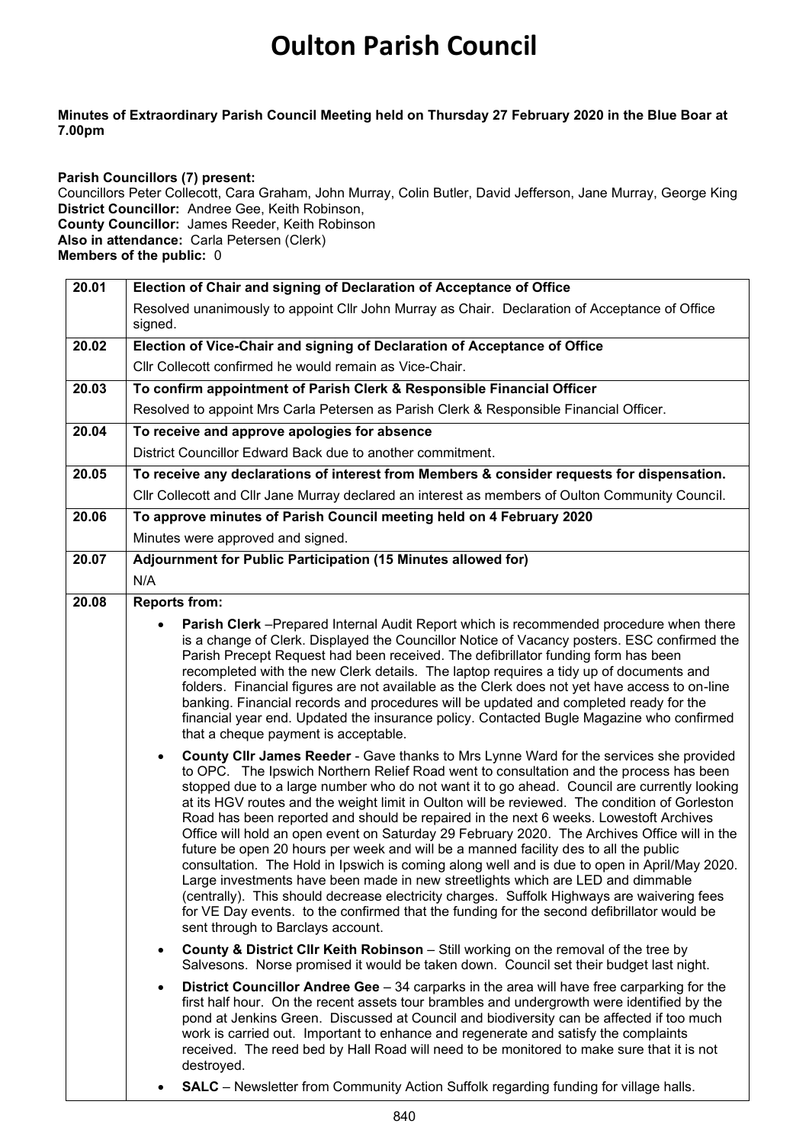## **Oulton Parish Council**

## **Minutes of Extraordinary Parish Council Meeting held on Thursday 27 February 2020 in the Blue Boar at 7.00pm**

**Parish Councillors (7) present:** Councillors Peter Collecott, Cara Graham, John Murray, Colin Butler, David Jefferson, Jane Murray, George King **District Councillor:** Andree Gee, Keith Robinson, **County Councillor:** James Reeder, Keith Robinson **Also in attendance:** Carla Petersen (Clerk) **Members of the public:** 0

| 20.01 | Election of Chair and signing of Declaration of Acceptance of Office                                                                                                                                                                                                                                                                                                                                                                                                                                                                                                                                                                                                                                                                                                                                                                                                                                                                                                                                                                                                                               |  |  |  |
|-------|----------------------------------------------------------------------------------------------------------------------------------------------------------------------------------------------------------------------------------------------------------------------------------------------------------------------------------------------------------------------------------------------------------------------------------------------------------------------------------------------------------------------------------------------------------------------------------------------------------------------------------------------------------------------------------------------------------------------------------------------------------------------------------------------------------------------------------------------------------------------------------------------------------------------------------------------------------------------------------------------------------------------------------------------------------------------------------------------------|--|--|--|
|       | Resolved unanimously to appoint Cllr John Murray as Chair. Declaration of Acceptance of Office<br>signed.                                                                                                                                                                                                                                                                                                                                                                                                                                                                                                                                                                                                                                                                                                                                                                                                                                                                                                                                                                                          |  |  |  |
| 20.02 | Election of Vice-Chair and signing of Declaration of Acceptance of Office                                                                                                                                                                                                                                                                                                                                                                                                                                                                                                                                                                                                                                                                                                                                                                                                                                                                                                                                                                                                                          |  |  |  |
|       | Cllr Collecott confirmed he would remain as Vice-Chair.                                                                                                                                                                                                                                                                                                                                                                                                                                                                                                                                                                                                                                                                                                                                                                                                                                                                                                                                                                                                                                            |  |  |  |
| 20.03 | To confirm appointment of Parish Clerk & Responsible Financial Officer                                                                                                                                                                                                                                                                                                                                                                                                                                                                                                                                                                                                                                                                                                                                                                                                                                                                                                                                                                                                                             |  |  |  |
|       | Resolved to appoint Mrs Carla Petersen as Parish Clerk & Responsible Financial Officer.                                                                                                                                                                                                                                                                                                                                                                                                                                                                                                                                                                                                                                                                                                                                                                                                                                                                                                                                                                                                            |  |  |  |
| 20.04 | To receive and approve apologies for absence                                                                                                                                                                                                                                                                                                                                                                                                                                                                                                                                                                                                                                                                                                                                                                                                                                                                                                                                                                                                                                                       |  |  |  |
|       | District Councillor Edward Back due to another commitment.                                                                                                                                                                                                                                                                                                                                                                                                                                                                                                                                                                                                                                                                                                                                                                                                                                                                                                                                                                                                                                         |  |  |  |
| 20.05 | To receive any declarations of interest from Members & consider requests for dispensation.                                                                                                                                                                                                                                                                                                                                                                                                                                                                                                                                                                                                                                                                                                                                                                                                                                                                                                                                                                                                         |  |  |  |
|       | Cllr Collecott and Cllr Jane Murray declared an interest as members of Oulton Community Council.                                                                                                                                                                                                                                                                                                                                                                                                                                                                                                                                                                                                                                                                                                                                                                                                                                                                                                                                                                                                   |  |  |  |
| 20.06 | To approve minutes of Parish Council meeting held on 4 February 2020                                                                                                                                                                                                                                                                                                                                                                                                                                                                                                                                                                                                                                                                                                                                                                                                                                                                                                                                                                                                                               |  |  |  |
|       | Minutes were approved and signed.                                                                                                                                                                                                                                                                                                                                                                                                                                                                                                                                                                                                                                                                                                                                                                                                                                                                                                                                                                                                                                                                  |  |  |  |
| 20.07 | Adjournment for Public Participation (15 Minutes allowed for)                                                                                                                                                                                                                                                                                                                                                                                                                                                                                                                                                                                                                                                                                                                                                                                                                                                                                                                                                                                                                                      |  |  |  |
|       | N/A                                                                                                                                                                                                                                                                                                                                                                                                                                                                                                                                                                                                                                                                                                                                                                                                                                                                                                                                                                                                                                                                                                |  |  |  |
| 20.08 | <b>Reports from:</b>                                                                                                                                                                                                                                                                                                                                                                                                                                                                                                                                                                                                                                                                                                                                                                                                                                                                                                                                                                                                                                                                               |  |  |  |
|       | is a change of Clerk. Displayed the Councillor Notice of Vacancy posters. ESC confirmed the<br>Parish Precept Request had been received. The defibrillator funding form has been<br>recompleted with the new Clerk details. The laptop requires a tidy up of documents and<br>folders. Financial figures are not available as the Clerk does not yet have access to on-line<br>banking. Financial records and procedures will be updated and completed ready for the<br>financial year end. Updated the insurance policy. Contacted Bugle Magazine who confirmed<br>that a cheque payment is acceptable.                                                                                                                                                                                                                                                                                                                                                                                                                                                                                           |  |  |  |
|       | County CIIr James Reeder - Gave thanks to Mrs Lynne Ward for the services she provided<br>$\bullet$<br>to OPC. The Ipswich Northern Relief Road went to consultation and the process has been<br>stopped due to a large number who do not want it to go ahead. Council are currently looking<br>at its HGV routes and the weight limit in Oulton will be reviewed. The condition of Gorleston<br>Road has been reported and should be repaired in the next 6 weeks. Lowestoft Archives<br>Office will hold an open event on Saturday 29 February 2020. The Archives Office will in the<br>future be open 20 hours per week and will be a manned facility des to all the public<br>consultation. The Hold in Ipswich is coming along well and is due to open in April/May 2020.<br>Large investments have been made in new streetlights which are LED and dimmable<br>(centrally). This should decrease electricity charges. Suffolk Highways are waivering fees<br>for VE Day events. to the confirmed that the funding for the second defibrillator would be<br>sent through to Barclays account. |  |  |  |
|       | <b>County &amp; District Cllr Keith Robinson</b> – Still working on the removal of the tree by<br>$\bullet$<br>Salvesons. Norse promised it would be taken down. Council set their budget last night.                                                                                                                                                                                                                                                                                                                                                                                                                                                                                                                                                                                                                                                                                                                                                                                                                                                                                              |  |  |  |
|       | District Councillor Andree Gee - 34 carparks in the area will have free carparking for the<br>first half hour. On the recent assets tour brambles and undergrowth were identified by the<br>pond at Jenkins Green. Discussed at Council and biodiversity can be affected if too much<br>work is carried out. Important to enhance and regenerate and satisfy the complaints<br>received. The reed bed by Hall Road will need to be monitored to make sure that it is not<br>destroyed.                                                                                                                                                                                                                                                                                                                                                                                                                                                                                                                                                                                                             |  |  |  |
|       |                                                                                                                                                                                                                                                                                                                                                                                                                                                                                                                                                                                                                                                                                                                                                                                                                                                                                                                                                                                                                                                                                                    |  |  |  |

• **SALC** – Newsletter from Community Action Suffolk regarding funding for village halls.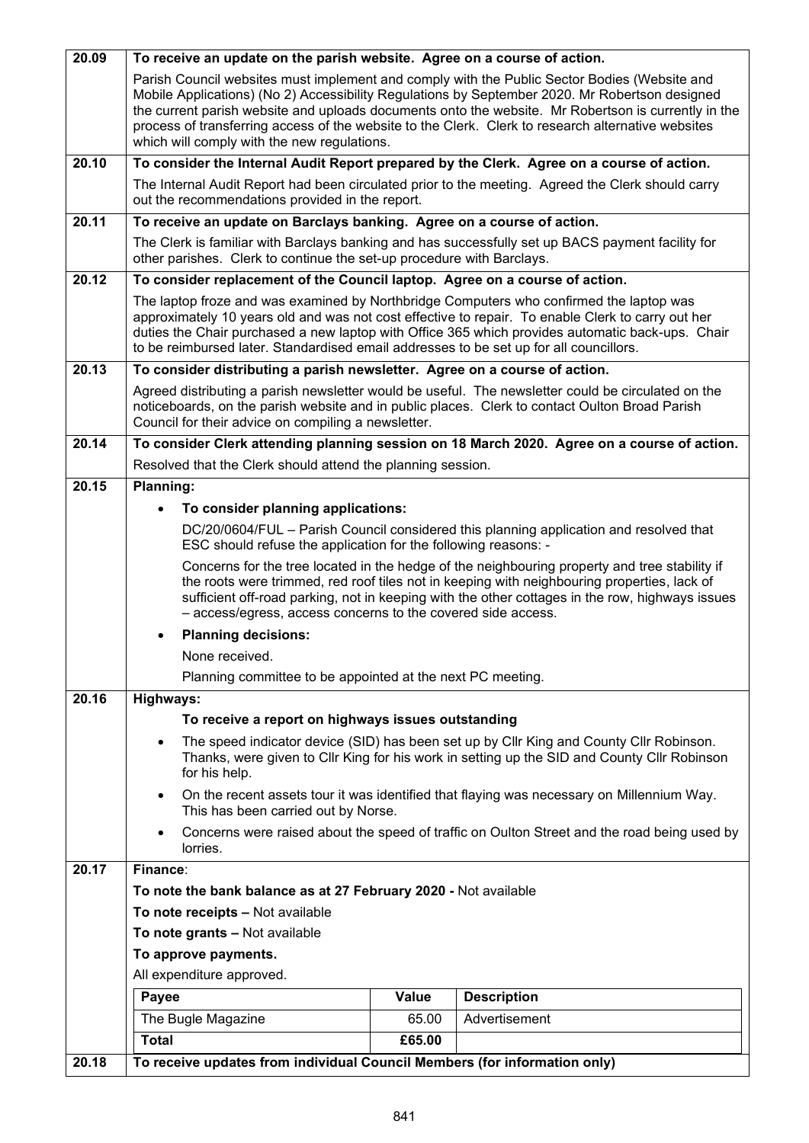| 20.18 | To receive updates from individual Council Members (for information only)                                                                                                                                                                                                                                                                                                                                                                                  |        |                                                                                                    |  |
|-------|------------------------------------------------------------------------------------------------------------------------------------------------------------------------------------------------------------------------------------------------------------------------------------------------------------------------------------------------------------------------------------------------------------------------------------------------------------|--------|----------------------------------------------------------------------------------------------------|--|
|       | <b>Total</b>                                                                                                                                                                                                                                                                                                                                                                                                                                               | £65.00 |                                                                                                    |  |
|       | The Bugle Magazine                                                                                                                                                                                                                                                                                                                                                                                                                                         | 65.00  | Advertisement                                                                                      |  |
|       | Payee                                                                                                                                                                                                                                                                                                                                                                                                                                                      | Value  | <b>Description</b>                                                                                 |  |
|       | All expenditure approved.                                                                                                                                                                                                                                                                                                                                                                                                                                  |        |                                                                                                    |  |
|       | To approve payments.                                                                                                                                                                                                                                                                                                                                                                                                                                       |        |                                                                                                    |  |
|       | To note receipts - Not available<br>To note grants - Not available                                                                                                                                                                                                                                                                                                                                                                                         |        |                                                                                                    |  |
|       | To note the bank balance as at 27 February 2020 - Not available                                                                                                                                                                                                                                                                                                                                                                                            |        |                                                                                                    |  |
| 20.17 | Finance:                                                                                                                                                                                                                                                                                                                                                                                                                                                   |        |                                                                                                    |  |
|       | lorries.                                                                                                                                                                                                                                                                                                                                                                                                                                                   |        |                                                                                                    |  |
|       | This has been carried out by Norse.<br>Concerns were raised about the speed of traffic on Oulton Street and the road being used by                                                                                                                                                                                                                                                                                                                         |        |                                                                                                    |  |
|       | Thanks, were given to Cllr King for his work in setting up the SID and County Cllr Robinson<br>for his help.<br>On the recent assets tour it was identified that flaying was necessary on Millennium Way.                                                                                                                                                                                                                                                  |        |                                                                                                    |  |
|       |                                                                                                                                                                                                                                                                                                                                                                                                                                                            |        |                                                                                                    |  |
|       | To receive a report on highways issues outstanding<br>The speed indicator device (SID) has been set up by Cllr King and County Cllr Robinson.<br>$\bullet$                                                                                                                                                                                                                                                                                                 |        |                                                                                                    |  |
|       |                                                                                                                                                                                                                                                                                                                                                                                                                                                            |        |                                                                                                    |  |
| 20.16 | Highways:                                                                                                                                                                                                                                                                                                                                                                                                                                                  |        |                                                                                                    |  |
|       | None received.<br>Planning committee to be appointed at the next PC meeting.                                                                                                                                                                                                                                                                                                                                                                               |        |                                                                                                    |  |
|       | <b>Planning decisions:</b>                                                                                                                                                                                                                                                                                                                                                                                                                                 |        |                                                                                                    |  |
|       | the roots were trimmed, red roof tiles not in keeping with neighbouring properties, lack of<br>sufficient off-road parking, not in keeping with the other cottages in the row, highways issues<br>- access/egress, access concerns to the covered side access.                                                                                                                                                                                             |        |                                                                                                    |  |
|       |                                                                                                                                                                                                                                                                                                                                                                                                                                                            |        |                                                                                                    |  |
|       | Concerns for the tree located in the hedge of the neighbouring property and tree stability if                                                                                                                                                                                                                                                                                                                                                              |        |                                                                                                    |  |
|       | ESC should refuse the application for the following reasons: -                                                                                                                                                                                                                                                                                                                                                                                             |        | DC/20/0604/FUL - Parish Council considered this planning application and resolved that             |  |
|       | To consider planning applications:                                                                                                                                                                                                                                                                                                                                                                                                                         |        |                                                                                                    |  |
| 20.15 | Resolved that the Clerk should attend the planning session.<br>Planning:                                                                                                                                                                                                                                                                                                                                                                                   |        |                                                                                                    |  |
|       | To consider Clerk attending planning session on 18 March 2020. Agree on a course of action.                                                                                                                                                                                                                                                                                                                                                                |        |                                                                                                    |  |
| 20.14 |                                                                                                                                                                                                                                                                                                                                                                                                                                                            |        |                                                                                                    |  |
|       | noticeboards, on the parish website and in public places. Clerk to contact Oulton Broad Parish                                                                                                                                                                                                                                                                                                                                                             |        | Agreed distributing a parish newsletter would be useful. The newsletter could be circulated on the |  |
| 20.13 | To consider distributing a parish newsletter. Agree on a course of action.                                                                                                                                                                                                                                                                                                                                                                                 |        |                                                                                                    |  |
|       | The laptop froze and was examined by Northbridge Computers who confirmed the laptop was<br>approximately 10 years old and was not cost effective to repair. To enable Clerk to carry out her<br>duties the Chair purchased a new laptop with Office 365 which provides automatic back-ups. Chair<br>to be reimbursed later. Standardised email addresses to be set up for all councillors.                                                                 |        |                                                                                                    |  |
| 20.12 | To consider replacement of the Council laptop. Agree on a course of action.                                                                                                                                                                                                                                                                                                                                                                                |        |                                                                                                    |  |
|       | The Clerk is familiar with Barclays banking and has successfully set up BACS payment facility for<br>other parishes. Clerk to continue the set-up procedure with Barclays.                                                                                                                                                                                                                                                                                 |        |                                                                                                    |  |
| 20.11 | To receive an update on Barclays banking. Agree on a course of action.                                                                                                                                                                                                                                                                                                                                                                                     |        |                                                                                                    |  |
|       | out the recommendations provided in the report.                                                                                                                                                                                                                                                                                                                                                                                                            |        | The Internal Audit Report had been circulated prior to the meeting. Agreed the Clerk should carry  |  |
| 20.10 | To consider the Internal Audit Report prepared by the Clerk. Agree on a course of action.                                                                                                                                                                                                                                                                                                                                                                  |        |                                                                                                    |  |
|       | Parish Council websites must implement and comply with the Public Sector Bodies (Website and<br>Mobile Applications) (No 2) Accessibility Regulations by September 2020. Mr Robertson designed<br>the current parish website and uploads documents onto the website. Mr Robertson is currently in the<br>process of transferring access of the website to the Clerk. Clerk to research alternative websites<br>which will comply with the new regulations. |        |                                                                                                    |  |
| 20.09 | To receive an update on the parish website. Agree on a course of action.                                                                                                                                                                                                                                                                                                                                                                                   |        |                                                                                                    |  |